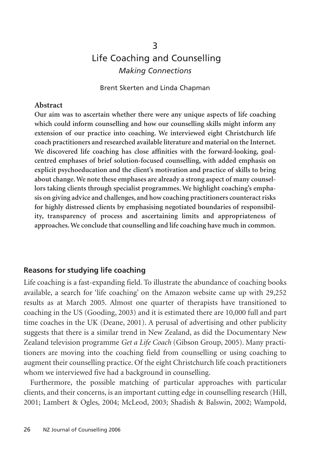# 3 Life Coaching and Counselling *Making Connections*

Brent Skerten and Linda Chapman

#### **Abstract**

**Our aim was to ascertain whether there were any unique aspects of life coaching which could inform counselling and how our counselling skills might inform any extension of our practice into coaching. We interviewed eight Christchurch life coach practitioners and researched available literature and material on the Internet. We discovered life coaching has close affinities with the forward-looking, goalcentred emphases of brief solution-focused counselling, with added emphasis on explicit psychoeducation and the client's motivation and practice of skills to bring about change. We note these emphases are already a strong aspect of many counsellors taking clients through specialist programmes. We highlight coaching's emphasis on giving advice and challenges, and how coaching practitioners counteract risks for highly distressed clients by emphasising negotiated boundaries of responsibility, transparency of process and ascertaining limits and appropriateness of approaches. We conclude that counselling and life coaching have much in common.**

#### **Reasons for studying life coaching**

Life coaching is a fast-expanding field. To illustrate the abundance of coaching books available, a search for 'life coaching' on the Amazon website came up with 29,252 results as at March 2005. Almost one quarter of therapists have transitioned to coaching in the US (Gooding, 2003) and it is estimated there are 10,000 full and part time coaches in the UK (Deane, 2001). A perusal of advertising and other publicity suggests that there is a similar trend in New Zealand, as did the Documentary New Zealand television programme *Get a Life Coach* (Gibson Group, 2005). Many practitioners are moving into the coaching field from counselling or using coaching to augment their counselling practice. Of the eight Christchurch life coach practitioners whom we interviewed five had a background in counselling.

Furthermore, the possible matching of particular approaches with particular clients, and their concerns, is an important cutting edge in counselling research (Hill, 2001; Lambert & Ogles, 2004; McLeod, 2003; Shadish & Balswin, 2002; Wampold,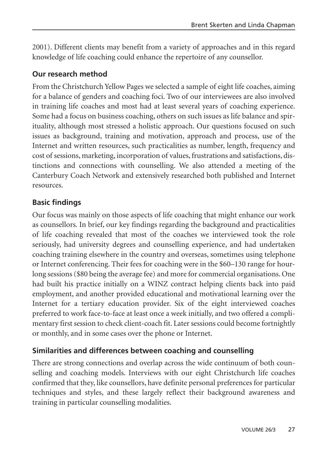2001). Different clients may benefit from a variety of approaches and in this regard knowledge of life coaching could enhance the repertoire of any counsellor.

# **Our research method**

From the Christchurch Yellow Pages we selected a sample of eight life coaches, aiming for a balance of genders and coaching foci. Two of our interviewees are also involved in training life coaches and most had at least several years of coaching experience. Some had a focus on business coaching, others on such issues as life balance and spirituality, although most stressed a holistic approach. Our questions focused on such issues as background, training and motivation, approach and process, use of the Internet and written resources, such practicalities as number, length, frequency and cost of sessions, marketing, incorporation of values, frustrations and satisfactions, distinctions and connections with counselling. We also attended a meeting of the Canterbury Coach Network and extensively researched both published and Internet resources.

# **Basic findings**

Our focus was mainly on those aspects of life coaching that might enhance our work as counsellors. In brief, our key findings regarding the background and practicalities of life coaching revealed that most of the coaches we interviewed took the role seriously, had university degrees and counselling experience, and had undertaken coaching training elsewhere in the country and overseas, sometimes using telephone or Internet conferencing. Their fees for coaching were in the \$60–130 range for hourlong sessions (\$80 being the average fee) and more for commercial organisations. One had built his practice initially on a WINZ contract helping clients back into paid employment, and another provided educational and motivational learning over the Internet for a tertiary education provider. Six of the eight interviewed coaches preferred to work face-to-face at least once a week initially, and two offered a complimentary first session to check client-coach fit. Later sessions could become fortnightly or monthly, and in some cases over the phone or Internet.

# **Similarities and differences between coaching and counselling**

There are strong connections and overlap across the wide continuum of both counselling and coaching models. Interviews with our eight Christchurch life coaches confirmed that they, like counsellors, have definite personal preferences for particular techniques and styles, and these largely reflect their background awareness and training in particular counselling modalities.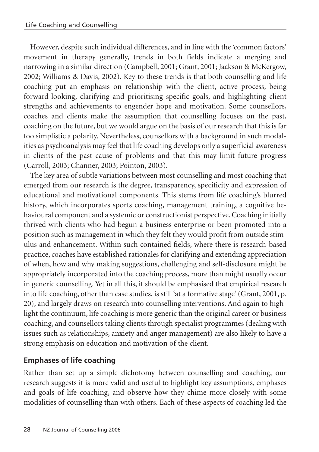However, despite such individual differences, and in line with the 'common factors' movement in therapy generally, trends in both fields indicate a merging and narrowing in a similar direction (Campbell, 2001; Grant, 2001; Jackson & McKergow, 2002; Williams & Davis, 2002). Key to these trends is that both counselling and life coaching put an emphasis on relationship with the client, active process, being forward-looking, clarifying and prioritising specific goals, and highlighting client strengths and achievements to engender hope and motivation. Some counsellors, coaches and clients make the assumption that counselling focuses on the past, coaching on the future, but we would argue on the basis of our research that this is far too simplistic a polarity. Nevertheless, counsellors with a background in such modalities as psychoanalysis may feel that life coaching develops only a superficial awareness in clients of the past cause of problems and that this may limit future progress (Carroll, 2003; Channer, 2003; Pointon, 2003).

The key area of subtle variations between most counselling and most coaching that emerged from our research is the degree, transparency, specificity and expression of educational and motivational components. This stems from life coaching's blurred history, which incorporates sports coaching, management training, a cognitive behavioural component and a systemic or constructionist perspective. Coaching initially thrived with clients who had begun a business enterprise or been promoted into a position such as management in which they felt they would profit from outside stimulus and enhancement. Within such contained fields, where there is research-based practice, coaches have established rationales for clarifying and extending appreciation of when, how and why making suggestions, challenging and self-disclosure might be appropriately incorporated into the coaching process, more than might usually occur in generic counselling. Yet in all this, it should be emphasised that empirical research into life coaching, other than case studies, is still 'at a formative stage' (Grant, 2001, p. 20), and largely draws on research into counselling interventions. And again to highlight the continuum, life coaching is more generic than the original career or business coaching, and counsellors taking clients through specialist programmes (dealing with issues such as relationships, anxiety and anger management) are also likely to have a strong emphasis on education and motivation of the client.

# **Emphases of life coaching**

Rather than set up a simple dichotomy between counselling and coaching, our research suggests it is more valid and useful to highlight key assumptions, emphases and goals of life coaching, and observe how they chime more closely with some modalities of counselling than with others. Each of these aspects of coaching led the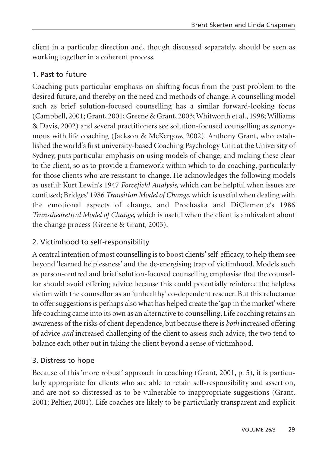client in a particular direction and, though discussed separately, should be seen as working together in a coherent process.

#### 1. Past to future

Coaching puts particular emphasis on shifting focus from the past problem to the desired future, and thereby on the need and methods of change. A counselling model such as brief solution-focused counselling has a similar forward-looking focus (Campbell, 2001; Grant, 2001; Greene & Grant, 2003; Whitworth et al., 1998; Williams & Davis, 2002) and several practitioners see solution-focused counselling as synonymous with life coaching (Jackson & McKergow, 2002). Anthony Grant, who established the world's first university-based Coaching Psychology Unit at the University of Sydney, puts particular emphasis on using models of change, and making these clear to the client, so as to provide a framework within which to do coaching, particularly for those clients who are resistant to change. He acknowledges the following models as useful: Kurt Lewin's 1947 *Forcefield Analysis*, which can be helpful when issues are confused; Bridges' 1986 *Transition Model of Change*, which is useful when dealing with the emotional aspects of change, and Prochaska and DiClemente's 1986 *Transtheoretical Model of Change*, which is useful when the client is ambivalent about the change process (Greene & Grant, 2003).

# 2. Victimhood to self-responsibility

A central intention of most counselling is to boost clients' self-efficacy, to help them see beyond 'learned helplessness' and the de-energising trap of victimhood. Models such as person-centred and brief solution-focused counselling emphasise that the counsellor should avoid offering advice because this could potentially reinforce the helpless victim with the counsellor as an 'unhealthy' co-dependent rescuer. But this reluctance to offer suggestions is perhaps also what has helped create the 'gap in the market' where life coaching came into its own as an alternative to counselling. Life coaching retains an awareness of the risks of client dependence, but because there is *both* increased offering of advice *and* increased challenging of the client to assess such advice, the two tend to balance each other out in taking the client beyond a sense of victimhood.

#### 3. Distress to hope

Because of this 'more robust' approach in coaching (Grant, 2001, p. 5), it is particularly appropriate for clients who are able to retain self-responsibility and assertion, and are not so distressed as to be vulnerable to inappropriate suggestions (Grant, 2001; Peltier, 2001). Life coaches are likely to be particularly transparent and explicit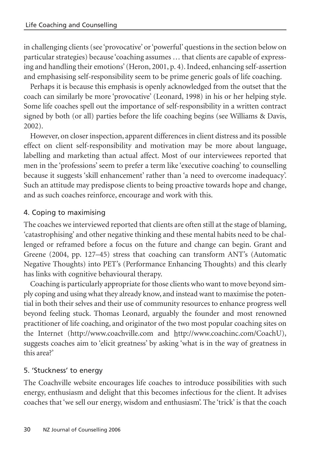in challenging clients (see 'provocative' or 'powerful' questions in the section below on particular strategies) because 'coaching assumes … that clients are capable of expressing and handling their emotions' (Heron, 2001, p. 4). Indeed, enhancing self-assertion and emphasising self-responsibility seem to be prime generic goals of life coaching.

Perhaps it is because this emphasis is openly acknowledged from the outset that the coach can similarly be more 'provocative' (Leonard, 1998) in his or her helping style. Some life coaches spell out the importance of self-responsibility in a written contract signed by both (or all) parties before the life coaching begins (see Williams & Davis, 2002).

However, on closer inspection, apparent differences in client distress and its possible effect on client self-responsibility and motivation may be more about language, labelling and marketing than actual affect. Most of our interviewees reported that men in the 'professions' seem to prefer a term like 'executive coaching' to counselling because it suggests 'skill enhancement' rather than 'a need to overcome inadequacy'. Such an attitude may predispose clients to being proactive towards hope and change, and as such coaches reinforce, encourage and work with this.

# 4. Coping to maximising

The coaches we interviewed reported that clients are often still at the stage of blaming, 'catastrophising' and other negative thinking and these mental habits need to be challenged or reframed before a focus on the future and change can begin. Grant and Greene (2004, pp. 127–45) stress that coaching can transform ANT's (Automatic Negative Thoughts) into PET's (Performance Enhancing Thoughts) and this clearly has links with cognitive behavioural therapy.

Coaching is particularly appropriate for those clients who want to move beyond simply coping and using what they already know, and instead want to maximise the potential in both their selves and their use of community resources to enhance progress well beyond feeling stuck. Thomas Leonard, arguably the founder and most renowned practitioner of life coaching, and originator of the two most popular coaching sites on the Internet (http://www.coachville.com and http://www.coachinc.com/CoachU), suggests coaches aim to 'elicit greatness' by asking 'what is in the way of greatness in this area?'

# 5. 'Stuckness' to energy

The Coachville website encourages life coaches to introduce possibilities with such energy, enthusiasm and delight that this becomes infectious for the client. It advises coaches that 'we sell our energy, wisdom and enthusiasm'. The 'trick' is that the coach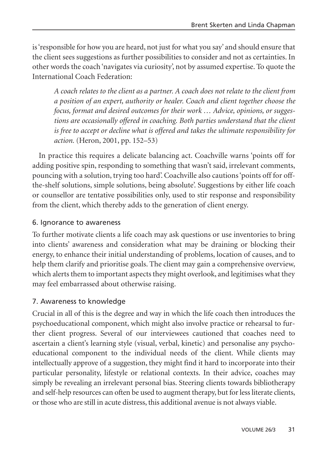is 'responsible for how you are heard, not just for what you say' and should ensure that the client sees suggestions as further possibilities to consider and not as certainties. In other words the coach 'navigates via curiosity', not by assumed expertise. To quote the International Coach Federation:

*A coach relates to the client as a partner. A coach does not relate to the client from a position of an expert, authority or healer. Coach and client together choose the focus, format and desired outcomes for their work … Advice, opinions, or suggestions are occasionally offered in coaching. Both parties understand that the client is free to accept or decline what is offered and takes the ultimate responsibility for action.* (Heron, 2001, pp. 152–53)

In practice this requires a delicate balancing act. Coachville warns 'points off for adding positive spin, responding to something that wasn't said, irrelevant comments, pouncing with a solution, trying too hard'. Coachville also cautions 'points off for offthe-shelf solutions, simple solutions, being absolute'. Suggestions by either life coach or counsellor are tentative possibilities only, used to stir response and responsibility from the client, which thereby adds to the generation of client energy.

#### 6. Ignorance to awareness

To further motivate clients a life coach may ask questions or use inventories to bring into clients' awareness and consideration what may be draining or blocking their energy, to enhance their initial understanding of problems, location of causes, and to help them clarify and prioritise goals. The client may gain a comprehensive overview, which alerts them to important aspects they might overlook, and legitimises what they may feel embarrassed about otherwise raising.

# 7. Awareness to knowledge

Crucial in all of this is the degree and way in which the life coach then introduces the psychoeducational component, which might also involve practice or rehearsal to further client progress. Several of our interviewees cautioned that coaches need to ascertain a client's learning style (visual, verbal, kinetic) and personalise any psychoeducational component to the individual needs of the client. While clients may intellectually approve of a suggestion, they might find it hard to incorporate into their particular personality, lifestyle or relational contexts. In their advice, coaches may simply be revealing an irrelevant personal bias. Steering clients towards bibliotherapy and self-help resources can often be used to augment therapy, but for less literate clients, or those who are still in acute distress, this additional avenue is not always viable.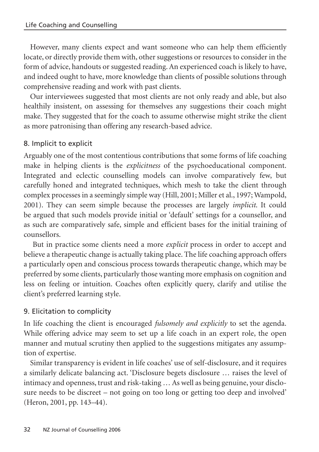However, many clients expect and want someone who can help them efficiently locate, or directly provide them with, other suggestions or resources to consider in the form of advice, handouts or suggested reading. An experienced coach is likely to have, and indeed ought to have, more knowledge than clients of possible solutions through comprehensive reading and work with past clients.

Our interviewees suggested that most clients are not only ready and able, but also healthily insistent, on assessing for themselves any suggestions their coach might make. They suggested that for the coach to assume otherwise might strike the client as more patronising than offering any research-based advice.

# 8. Implicit to explicit

Arguably one of the most contentious contributions that some forms of life coaching make in helping clients is the *explicitness* of the psychoeducational component. Integrated and eclectic counselling models can involve comparatively few, but carefully honed and integrated techniques, which mesh to take the client through complex processes in a seemingly simple way (Hill, 2001; Miller et al., 1997; Wampold, 2001). They can seem simple because the processes are largely *implicit*. It could be argued that such models provide initial or 'default' settings for a counsellor, and as such are comparatively safe, simple and efficient bases for the initial training of counsellors.

But in practice some clients need a more *explicit* process in order to accept and believe a therapeutic change is actually taking place. The life coaching approach offers a particularly open and conscious process towards therapeutic change, which may be preferred by some clients, particularly those wanting more emphasis on cognition and less on feeling or intuition. Coaches often explicitly query, clarify and utilise the client's preferred learning style.

# 9. Elicitation to complicity

In life coaching the client is encouraged *fulsomely and explicitly* to set the agenda. While offering advice may seem to set up a life coach in an expert role, the open manner and mutual scrutiny then applied to the suggestions mitigates any assumption of expertise.

Similar transparency is evident in life coaches' use of self-disclosure, and it requires a similarly delicate balancing act. 'Disclosure begets disclosure … raises the level of intimacy and openness, trust and risk-taking … As well as being genuine, your disclosure needs to be discreet – not going on too long or getting too deep and involved' (Heron, 2001, pp. 143–44).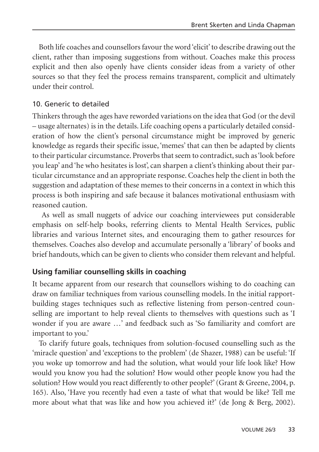Both life coaches and counsellors favour the word 'elicit' to describe drawing out the client, rather than imposing suggestions from without. Coaches make this process explicit and then also openly have clients consider ideas from a variety of other sources so that they feel the process remains transparent, complicit and ultimately under their control.

#### 10. Generic to detailed

Thinkers through the ages have reworded variations on the idea that God (or the devil – usage alternates) is in the details. Life coaching opens a particularly detailed consideration of how the client's personal circumstance might be improved by generic knowledge as regards their specific issue, 'memes' that can then be adapted by clients to their particular circumstance. Proverbs that seem to contradict, such as 'look before you leap' and 'he who hesitates is lost', can sharpen a client's thinking about their particular circumstance and an appropriate response. Coaches help the client in both the suggestion and adaptation of these memes to their concerns in a context in which this process is both inspiring and safe because it balances motivational enthusiasm with reasoned caution.

As well as small nuggets of advice our coaching interviewees put considerable emphasis on self-help books, referring clients to Mental Health Services, public libraries and various Internet sites, and encouraging them to gather resources for themselves. Coaches also develop and accumulate personally a 'library' of books and brief handouts, which can be given to clients who consider them relevant and helpful.

#### **Using familiar counselling skills in coaching**

It became apparent from our research that counsellors wishing to do coaching can draw on familiar techniques from various counselling models. In the initial rapportbuilding stages techniques such as reflective listening from person-centred counselling are important to help reveal clients to themselves with questions such as 'I wonder if you are aware …' and feedback such as 'So familiarity and comfort are important to you.'

To clarify future goals, techniques from solution-focused counselling such as the 'miracle question' and 'exceptions to the problem' (de Shazer, 1988) can be useful: 'If you woke up tomorrow and had the solution, what would your life look like? How would you know you had the solution? How would other people know you had the solution? How would you react differently to other people?' (Grant & Greene, 2004, p. 165). Also, 'Have you recently had even a taste of what that would be like? Tell me more about what that was like and how you achieved it?' (de Jong & Berg, 2002).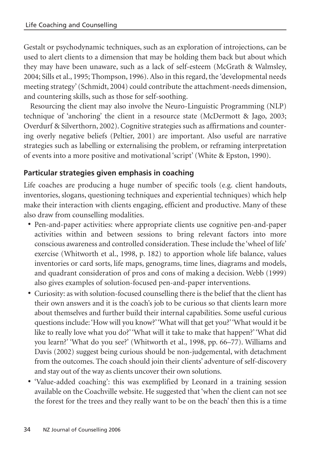Gestalt or psychodynamic techniques, such as an exploration of introjections, can be used to alert clients to a dimension that may be holding them back but about which they may have been unaware, such as a lack of self-esteem (McGrath & Walmsley, 2004; Sills et al., 1995; Thompson, 1996). Also in this regard, the 'developmental needs meeting strategy' (Schmidt, 2004) could contribute the attachment-needs dimension, and countering skills, such as those for self-soothing.

Resourcing the client may also involve the Neuro-Linguistic Programming (NLP) technique of 'anchoring' the client in a resource state (McDermott & Jago, 2003; Overdurf & Silverthorn, 2002). Cognitive strategies such as affirmations and countering overly negative beliefs (Peltier, 2001) are important. Also useful are narrative strategies such as labelling or externalising the problem, or reframing interpretation of events into a more positive and motivational 'script' (White & Epston, 1990).

# **Particular strategies given emphasis in coaching**

Life coaches are producing a huge number of specific tools (e.g. client handouts, inventories, slogans, questioning techniques and experiential techniques) which help make their interaction with clients engaging, efficient and productive. Many of these also draw from counselling modalities.

- **•** Pen-and-paper activities: where appropriate clients use cognitive pen-and-paper activities within and between sessions to bring relevant factors into more conscious awareness and controlled consideration. These include the 'wheel of life' exercise (Whitworth et al., 1998, p. 182) to apportion whole life balance, values inventories or card sorts, life maps, genograms, time lines, diagrams and models, and quadrant consideration of pros and cons of making a decision. Webb (1999) also gives examples of solution-focused pen-and-paper interventions.
- **•** Curiosity: as with solution-focused counselling there is the belief that the client has their own answers and it is the coach's job to be curious so that clients learn more about themselves and further build their internal capabilities. Some useful curious questions include: 'How will you know?''What will that get you?''What would it be like to really love what you do?' 'What will it take to make that happen?' 'What did you learn?' 'What do you see?' (Whitworth et al., 1998, pp. 66–77). Williams and Davis (2002) suggest being curious should be non-judgemental, with detachment from the outcomes. The coach should join their clients' adventure of self-discovery and stay out of the way as clients uncover their own solutions.
- **•** 'Value-added coaching': this was exemplified by Leonard in a training session available on the Coachville website. He suggested that 'when the client can not see the forest for the trees and they really want to be on the beach' then this is a time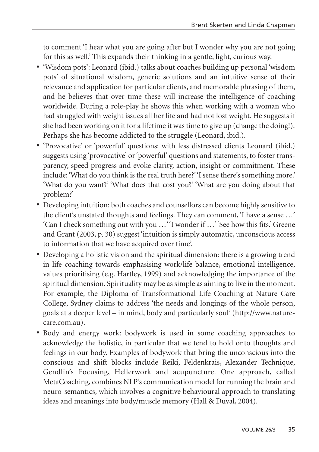to comment 'I hear what you are going after but I wonder why you are not going for this as well.' This expands their thinking in a gentle, light, curious way.

- **•** 'Wisdom pots': Leonard (ibid.) talks about coaches building up personal 'wisdom pots' of situational wisdom, generic solutions and an intuitive sense of their relevance and application for particular clients, and memorable phrasing of them, and he believes that over time these will increase the intelligence of coaching worldwide. During a role-play he shows this when working with a woman who had struggled with weight issues all her life and had not lost weight. He suggests if she had been working on it for a lifetime it was time to give up (change the doing!). Perhaps she has become addicted to the struggle (Leonard, ibid.).
- **•** 'Provocative' or 'powerful' questions: with less distressed clients Leonard (ibid.) suggests using 'provocative' or 'powerful' questions and statements, to foster transparency, speed progress and evoke clarity, action, insight or commitment. These include: 'What do you think is the real truth here?''I sense there's something more.' 'What do you want?' 'What does that cost you?' 'What are you doing about that problem?'
- **•** Developing intuition: both coaches and counsellors can become highly sensitive to the client's unstated thoughts and feelings. They can comment, 'I have a sense …' 'Can I check something out with you …''I wonder if …''See how this fits.' Greene and Grant (2003, p. 30) suggest 'intuition is simply automatic, unconscious access to information that we have acquired over time'.
- **•** Developing a holistic vision and the spiritual dimension: there is a growing trend in life coaching towards emphasising work/life balance, emotional intelligence, values prioritising (e.g. Hartley, 1999) and acknowledging the importance of the spiritual dimension. Spirituality may be as simple as aiming to live in the moment. For example, the Diploma of Transformational Life Coaching at Nature Care College, Sydney claims to address 'the needs and longings of the whole person, goals at a deeper level – in mind, body and particularly soul' (http://www.naturecare.com.au).
- **•** Body and energy work: bodywork is used in some coaching approaches to acknowledge the holistic, in particular that we tend to hold onto thoughts and feelings in our body. Examples of bodywork that bring the unconscious into the conscious and shift blocks include Reiki, Feldenkrais, Alexander Technique, Gendlin's Focusing, Hellerwork and acupuncture. One approach, called MetaCoaching, combines NLP's communication model for running the brain and neuro-semantics, which involves a cognitive behavioural approach to translating ideas and meanings into body/muscle memory (Hall & Duval, 2004).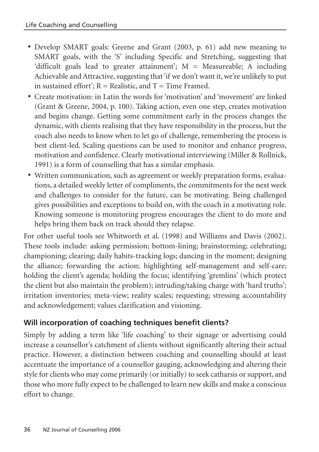- **•** Develop SMART goals: Greene and Grant (2003, p. 61) add new meaning to SMART goals, with the 'S' including Specific and Stretching, suggesting that 'difficult goals lead to greater attainment'; M = Measureable; A including Achievable and Attractive, suggesting that 'if we don't want it, we're unlikely to put in sustained effort';  $R =$  Realistic, and  $T =$  Time Framed.
- **•** Create motivation: in Latin the words for 'motivation' and 'movement' are linked (Grant & Greene, 2004, p. 100). Taking action, even one step, creates motivation and begins change. Getting some commitment early in the process changes the dynamic, with clients realising that they have responsibility in the process, but the coach also needs to know when to let go of challenge, remembering the process is best client-led. Scaling questions can be used to monitor and enhance progress, motivation and confidence. Clearly motivational interviewing (Miller & Rollnick, 1991) is a form of counselling that has a similar emphasis.
- **•** Written communication, such as agreement or weekly preparation forms, evaluations, a detailed weekly letter of compliments, the commitments for the next week and challenges to consider for the future, can be motivating. Being challenged gives possibilities and exceptions to build on, with the coach in a motivating role. Knowing someone is monitoring progress encourages the client to do more and helps bring them back on track should they relapse.

For other useful tools see Whitworth et al. (1998) and Williams and Davis (2002). These tools include: asking permission; bottom-lining; brainstorming; celebrating; championing; clearing; daily habits-tracking logs; dancing in the moment; designing the alliance; forwarding the action; highlighting self-management and self-care; holding the client's agenda; holding the focus; identifying 'gremlins' (which protect the client but also maintain the problem); intruding/taking charge with 'hard truths'; irritation inventories; meta-view; reality scales; requesting; stressing accountability and acknowledgement; values clarification and visioning.

# **Will incorporation of coaching techniques benefit clients?**

Simply by adding a term like 'life coaching' to their signage or advertising could increase a counsellor's catchment of clients without significantly altering their actual practice. However, a distinction between coaching and counselling should at least accentuate the importance of a counsellor gauging, acknowledging and altering their style for clients who may come primarily (or initially) to seek catharsis or support, and those who more fully expect to be challenged to learn new skills and make a conscious effort to change.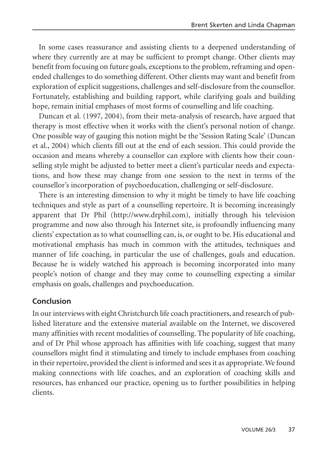In some cases reassurance and assisting clients to a deepened understanding of where they currently are at may be sufficient to prompt change. Other clients may benefit from focusing on future goals, exceptions to the problem, reframing and openended challenges to do something different. Other clients may want and benefit from exploration of explicit suggestions, challenges and self-disclosure from the counsellor. Fortunately, establishing and building rapport, while clarifying goals and building hope, remain initial emphases of most forms of counselling and life coaching.

Duncan et al. (1997, 2004), from their meta-analysis of research, have argued that therapy is most effective when it works with the client's personal notion of change. One possible way of gauging this notion might be the 'Session Rating Scale' (Duncan et al., 2004) which clients fill out at the end of each session. This could provide the occasion and means whereby a counsellor can explore with clients how their counselling style might be adjusted to better meet a client's particular needs and expectations, and how these may change from one session to the next in terms of the counsellor's incorporation of psychoeducation, challenging or self-disclosure.

There is an interesting dimension to why it might be timely to have life coaching techniques and style as part of a counselling repertoire. It is becoming increasingly apparent that Dr Phil (http://www.drphil.com), initially through his television programme and now also through his Internet site, is profoundly influencing many clients' expectation as to what counselling can, is, or ought to be. His educational and motivational emphasis has much in common with the attitudes, techniques and manner of life coaching, in particular the use of challenges, goals and education. Because he is widely watched his approach is becoming incorporated into many people's notion of change and they may come to counselling expecting a similar emphasis on goals, challenges and psychoeducation.

# **Conclusion**

In our interviews with eight Christchurch life coach practitioners, and research of published literature and the extensive material available on the Internet, we discovered many affinities with recent modalities of counselling. The popularity of life coaching, and of Dr Phil whose approach has affinities with life coaching, suggest that many counsellors might find it stimulating and timely to include emphases from coaching in their repertoire, provided the client is informed and sees it as appropriate. We found making connections with life coaches, and an exploration of coaching skills and resources, has enhanced our practice, opening us to further possibilities in helping clients.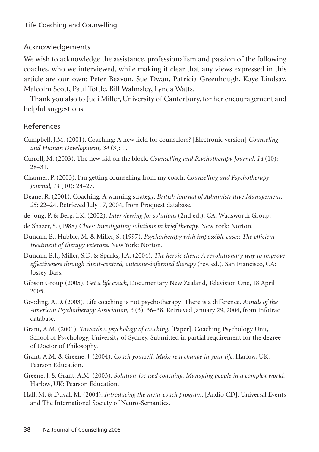#### Acknowledgements

We wish to acknowledge the assistance, professionalism and passion of the following coaches, who we interviewed, while making it clear that any views expressed in this article are our own: Peter Beavon, Sue Dwan, Patricia Greenhough, Kaye Lindsay, Malcolm Scott, Paul Tottle, Bill Walmsley, Lynda Watts.

Thank you also to Judi Miller, University of Canterbury, for her encouragement and helpful suggestions.

#### References

- Campbell, J.M. (2001). Coaching: A new field for counselors? [Electronic version] *Counseling and Human Development, 34* (3): 1.
- Carroll, M. (2003). The new kid on the block. *Counselling and Psychotherapy Journal, 14* (10): 28–31.
- Channer, P. (2003). I'm getting counselling from my coach. *Counselling and Psychotherapy Journal, 14* (10): 24–27.
- Deane, R. (2001). Coaching: A winning strategy. *British Journal of Administrative Management, 25*: 22–24. Retrieved July 17, 2004, from Proquest database.
- de Jong, P. & Berg, I.K. (2002). *Interviewing for solutions* (2nd ed.). CA: Wadsworth Group.
- de Shazer, S. (1988) *Clues: Investigating solutions in brief therapy*. New York: Norton.
- Duncan, B., Hubble, M. & Miller, S. (1997). *Psychotherapy with impossible cases: The efficient treatment of therapy veterans*. New York: Norton.
- Duncan, B.I., Miller, S.D. & Sparks, J.A. (2004). *The heroic client: A revolutionary way to improve effectiveness through client-centred, outcome-informed therapy* (rev. ed.). San Francisco, CA: Jossey-Bass.
- Gibson Group (2005). *Get a life coach*, Documentary New Zealand, Television One, 18 April 2005.
- Gooding, A.D. (2003). Life coaching is not psychotherapy: There is a difference. *Annals of the American Psychotherapy Association, 6* (3): 36–38. Retrieved January 29, 2004, from Infotrac database.
- Grant, A.M. (2001). *Towards a psychology of coaching*. [Paper]. Coaching Psychology Unit, School of Psychology, University of Sydney. Submitted in partial requirement for the degree of Doctor of Philosophy.
- Grant, A.M. & Greene, J. (2004). *Coach yourself: Make real change in your life*. Harlow, UK: Pearson Education.
- Greene, J. & Grant, A.M. (2003). *Solution-focused coaching: Managing people in a complex world*. Harlow, UK: Pearson Education.
- Hall, M. & Duval, M. (2004). *Introducing the meta-coach program*. [Audio CD]. Universal Events and The International Society of Neuro-Semantics.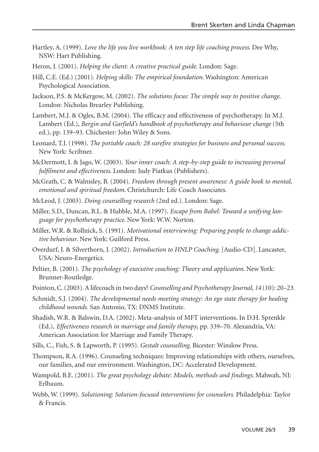- Hartley, A. (1999). *Love the life you live workbook: A ten step life coaching process*. Dee Why, NSW: Hart Publishing.
- Heron, J. (2001). *Helping the client: A creative practical guide*. London: Sage.
- Hill, C.E. (Ed.) (2001). *Helping skills: The empirical foundation*. Washington: American Psychological Association.
- Jackson, P.S. & McKergow, M. (2002). *The solutions focus: The simple way to positive change*. London: Nicholas Brearley Publishing.
- Lambert, M.J. & Ogles, B.M. (2004). The efficacy and effectiveness of psychotherapy. In M.J. Lambert (Ed.), *Bergin and Garfield's handbook of psychotherapy and behaviour change* (5th ed.), pp. 139–93. Chichester: John Wiley & Sons.
- Leonard, T.J. (1998). *The portable coach: 28 surefire strategies for business and personal success*. New York: Scribner.
- McDermott, I. & Jago, W. (2003). *Your inner coach: A step-by-step guide to increasing personal fulfilment and effectiveness*. London: Judy Piatkus (Publishers).
- McGrath, C. & Walmsley, B. (2004). *Freedom through present awareness: A guide book to mental, emotional and spiritual freedom*. Christchurch: Life Coach Associates.
- McLeod, J. (2003). *Doing counselling research* (2nd ed.). London: Sage.
- Miller, S.D., Duncan, B.L. & Hubble, M.A. (1997). *Escape from Babel: Toward a unifying language for psychotherapy practice*. New York: W.W. Norton.
- Miller, W.R. & Rollnick, S. (1991). *Motivational interviewing: Preparing people to change addictive behaviour*. New York: Guilford Press.
- Overdurf, J. & Silverthorn, J. (2002). *Introduction to HNLP Coaching*. [Audio-CD]. Lancaster, USA: Neuro-Energetics.
- Peltier, B. (2001). *The psychology of executive coaching: Theory and application*. New York: Brunner-Routledge.
- Pointon, C. (2003). A lifecoach in two days? *Counselling and Psychotherapy Journal, 14* (10): 20–23.
- Schmidt, S.J. (2004). *The developmental needs meeting strategy: An ego state therapy for healing childhood wounds.* San Antonio, TX: DNMS Institute.
- Shadish, W.R. & Balswin, D.A. (2002). Meta-analysis of MFT interventions. In D.H. Sprenkle (Ed.), *Effectiveness research in marriage and family therapy*, pp. 339–70. Alexandria, VA: American Association for Marriage and Family Therapy.
- Sills, C., Fish, S. & Lapworth, P. (1995). *Gestalt counselling*. Bicester: Winslow Press.
- Thompson, R.A. (1996). Counseling techniques: Improving relationships with others, ourselves, our families, and our environment. Washington, DC: Accelerated Development.
- Wampold, B.E. (2001). *The great psychology debate: Models, methods and findings*. Mahwah, NJ: Erlbaum.
- Webb, W. (1999). *Solutioning: Solution-focused interventions for counselors.* Philadelphia: Taylor & Francis.